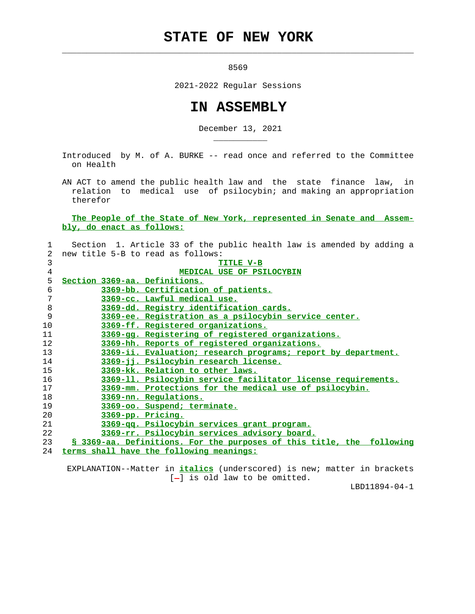## **STATE OF NEW YORK**

 $\mathcal{L}_\text{max} = \frac{1}{2} \sum_{i=1}^{n} \frac{1}{2} \sum_{i=1}^{n} \frac{1}{2} \sum_{i=1}^{n} \frac{1}{2} \sum_{i=1}^{n} \frac{1}{2} \sum_{i=1}^{n} \frac{1}{2} \sum_{i=1}^{n} \frac{1}{2} \sum_{i=1}^{n} \frac{1}{2} \sum_{i=1}^{n} \frac{1}{2} \sum_{i=1}^{n} \frac{1}{2} \sum_{i=1}^{n} \frac{1}{2} \sum_{i=1}^{n} \frac{1}{2} \sum_{i=1}^{n} \frac{1$ 

\_\_\_\_\_\_\_\_\_\_\_

<u>8569</u>

2021-2022 Regular Sessions

## **IN ASSEMBLY**

December 13, 2021

 Introduced by M. of A. BURKE -- read once and referred to the Committee on Health

 AN ACT to amend the public health law and the state finance law, in relation to medical use of psilocybin; and making an appropriation therefor

 **The People of the State of New York, represented in Senate and Assem bly, do enact as follows:**

| $\mathbf{1}$   | Section 1. Article 33 of the public health law is amended by adding a |
|----------------|-----------------------------------------------------------------------|
| $\overline{2}$ | new title 5-B to read as follows:                                     |
| 3              | TITLE V-B                                                             |
| $\overline{4}$ | MEDICAL USE OF PSILOCYBIN                                             |
| 5              | Section 3369-aa. Definitions.                                         |
| 6              | 3369-bb. Certification of patients.                                   |
| 7              | 3369-cc. Lawful medical use.                                          |
| $\,8\,$        | 3369-dd. Registry identification cards.                               |
| 9              | 3369-ee. Registration as a psilocybin service center.                 |
| 10             | 3369-ff. Registered organizations.                                    |
| 11             | 3369-gg. Registering of registered organizations.                     |
| 12             | 3369-hh. Reports of registered organizations.                         |
| 13             | 3369-ii. Evaluation; research programs; report by department.         |
| 14             | 3369-jj. Psilocybin research license.                                 |
| 15             | 3369-kk. Relation to other laws.                                      |
| 16             | 3369-11. Psilocybin service facilitator license requirements.         |
| 17             | 3369-mm. Protections for the medical use of psilocybin.               |
| 18             | 3369-nn. Regulations.                                                 |
| 19             | 3369-oo. Suspend; terminate.                                          |
| 20             | 3369-pp. Pricing.                                                     |
| 21             | 3369-gg. Psilocybin services grant program.                           |
| 22             | 3369-rr. Psilocybin services advisory board.                          |
| 23             | § 3369-aa. Definitions. For the purposes of this title, the following |
| 24             | terms shall have the following meanings:                              |

 EXPLANATION--Matter in **italics** (underscored) is new; matter in brackets  $[-]$  is old law to be omitted.

LBD11894-04-1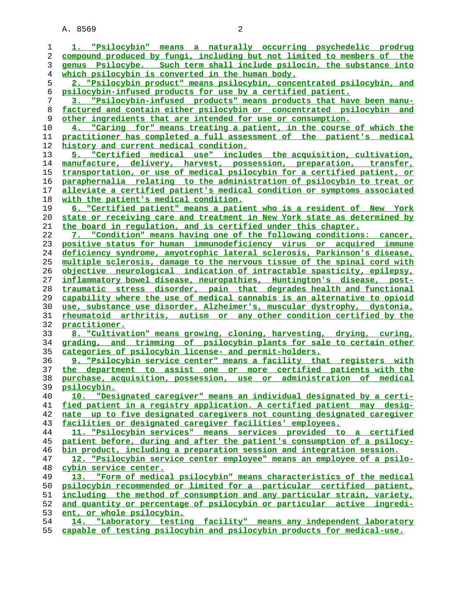| 1        | 1. "Psilocybin" means a naturally occurring psychedelic prodrug          |
|----------|--------------------------------------------------------------------------|
| 2        | compound produced by fungi, including but not limited to members of the  |
| 3        | genus Psilocybe. Such term shall include psilocin, the substance into    |
| 4        | which psilocybin is converted in the human body.                         |
| 5        | 2. "Psilocybin product" means psilocybin, concentrated psilocybin, and   |
| 6        | psilocybin-infused products for use by a certified patient.              |
| 7        | 3. "Psilocybin-infused products" means products that have been manu-     |
| 8        | factured and contain either psilocybin or concentrated psilocybin and    |
| 9        | other ingredients that are intended for use or consumption.              |
| 10       | 4. "Caring for" means treating a patient, in the course of which the     |
| 11       | practitioner has completed a full assessment of the patient's medical    |
| 12       | history and current medical condition.                                   |
| 13       | 5. "Certified medical use" includes the acquisition, cultivation,        |
| 14       | manufacture, delivery, harvest, possession, preparation, transfer,       |
| 15       | transportation, or use of medical psilocybin for a certified patient, or |
| 16       | paraphernalia relating to the administration of psilocybin to treat or   |
| 17       | alleviate a certified patient's medical condition or symptoms associated |
|          | with the patient's medical condition.                                    |
|          | 6. "Certified patient" means a patient who is a resident of New York     |
|          | state or receiving care and treatment in New York state as determined by |
|          | <u>the board in requlation, and is certified under this chapter.</u>     |
|          | 7. "Condition" means having one of the following conditions: cancer,     |
|          | positive status for human immunodeficiency virus or acquired immune      |
|          | deficiency syndrome, amyotrophic lateral sclerosis, Parkinson's disease, |
| 24<br>25 | multiple sclerosis, damage to the nervous tissue of the spinal cord with |
|          | objective neurological indication of intractable spasticity, epilepsy,   |
|          | inflammatory bowel disease, neuropathies, Huntington's disease, post-    |
|          | traumatic stress disorder, pain that degrades health and functional      |
|          | capability where the use of medical cannabis is an alternative to opioid |
|          | use, substance use disorder, Alzheimer's, muscular dystrophy, dystonia,  |
|          | rheumatoid arthritis, autism or any other condition certified by the     |
|          | practitioner.                                                            |
|          | 8. "Cultivation" means growing, cloning, harvesting, drying, curing,     |
|          | grading, and trimming of psilocybin plants for sale to certain other     |
|          | categories of psilocybin license- and permit-holders.                    |
|          | 9. "Psilocybin service center" means a facility that registers with      |
|          | the department to assist one or more certified patients with the         |
|          | purchase, acquisition, possession, use or administration of medical      |
|          | psilocybin.                                                              |
|          | 10. "Designated caregiver" means an individual designated by a certi-    |
|          | fied patient in a registry application. A certified patient may desig-   |
|          | nate up to five designated caregivers not counting designated caregiver  |
|          | facilities or designated caregiver facilities' employees.                |
|          | 11. "Psilocybin services" means services provided to a certified         |
|          | patient before, during and after the patient's consumption of a psilocy- |
|          | bin product, including a preparation session and integration session.    |
|          | 12. "Psilocybin service center employee" means an employee of a psilo-   |
|          | cybin service center.                                                    |
|          | 13. "Form of medical psilocybin" means characteristics of the medical    |
|          | psilocybin recommended or limited for a particular certified patient,    |
|          | including the method of consumption and any particular strain, variety,  |
| 51<br>52 | and quantity or percentage of psilocybin or particular active ingredi-   |
|          | ent, or whole psilocybin.                                                |
|          | 14. "Laboratory testing facility" means any independent laboratory       |
| 54<br>55 | capable of testing psilocybin and psilocybin products for medical-use.   |
|          |                                                                          |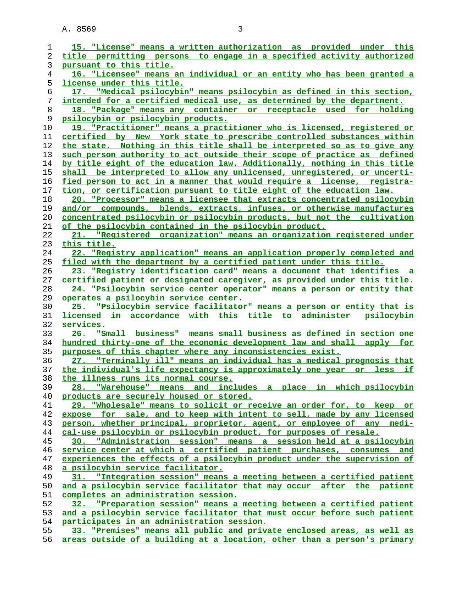| 1              | 15. "License" means a written authorization as provided under this                                                                   |
|----------------|--------------------------------------------------------------------------------------------------------------------------------------|
| 2              | title permitting persons to engage in a specified activity authorized                                                                |
| 3              | pursuant to this title.                                                                                                              |
| $\overline{4}$ | 16. "Licensee" means an individual or an entity who has been granted a                                                               |
| 5              | <u>license under this title.</u>                                                                                                     |
| 6              | 17. "Medical psilocybin" means psilocybin as defined in this section,                                                                |
| 7              | intended for a certified medical use, as determined by the department.                                                               |
| 8              | 18. "Package" means any container or receptacle used for holding                                                                     |
| 9              | psilocybin or psilocybin products.                                                                                                   |
| 10             | 19. "Practitioner" means a practitioner who is licensed, registered or                                                               |
| 11             | certified by New York state to prescribe controlled substances within                                                                |
| 12             | the state. Nothing in this title shall be interpreted so as to give any                                                              |
| 13             | such person authority to act outside their scope of practice as defined                                                              |
| 14             | by title eight of the education law. Additionally, nothing in this title                                                             |
| 15             | shall be interpreted to allow any unlicensed, unregistered, or uncerti-                                                              |
| 16             | fied person to act in a manner that would require a license, registra-                                                               |
| 17             | tion, or certification pursuant to title eight of the education law.                                                                 |
| 18             | 20. "Processor" means a licensee that extracts concentrated psilocybin                                                               |
| 19             | and/or compounds, blends, extracts, infuses, or otherwise manufactures                                                               |
| 20             | concentrated psilocybin or psilocybin products, but not the cultivation                                                              |
| 21             | of the psilocybin contained in the psilocybin product.                                                                               |
| 22             | 21. "Registered organization" means an organization registered under                                                                 |
| 23             | this title.                                                                                                                          |
| 24             | 22. "Registry application" means an application properly completed and                                                               |
| 25             | filed with the department by a certified patient under this title.                                                                   |
| 26             | 23. "Registry identification card" means a document that identifies a                                                                |
| 27             | certified patient or designated caregiver, as provided under this title.                                                             |
| 28             |                                                                                                                                      |
| 29             | 24. "Psilocybin service center operator" means a person or entity that                                                               |
| 30             | <u>operates a psilocybin service center.</u><br>25.                                                                                  |
| 31             | "Psilocybin service facilitator" means a person or entity that is<br>licensed in accordance with this title to administer psilocybin |
| 32             | services.                                                                                                                            |
| 33             | "Small business" means small business as defined in section one<br>26.                                                               |
| 34             | hundred thirty-one of the economic development law and shall apply for                                                               |
| 35             | purposes of this chapter where any inconsistencies exist.                                                                            |
| 36             | 27. "Terminally ill" means an individual has a medical prognosis that                                                                |
| 37             | the individual's life expectancy is approximately one year or less if                                                                |
| 38             | the illness runs its normal course.                                                                                                  |
| 39             | "Warehouse" means and includes a place in which psilocybin<br>28.                                                                    |
| 40             | products are securely housed or stored.                                                                                              |
| 41             | 29. "Wholesale" means to solicit or receive an order for, to keep or                                                                 |
| 42             | expose for sale, and to keep with intent to sell, made by any licensed                                                               |
| 43             | person, whether principal, proprietor, agent, or employee of any medi-                                                               |
| 44             | cal-use psilocybin or psilocybin product, for purposes of resale.                                                                    |
| 45             | 30. "Administration session" means a session held at a psilocybin                                                                    |
| 46             | service center at which a certified patient purchases, consumes and                                                                  |
| 47             | experiences the effects of a psilocybin product under the supervision of                                                             |
| 48             | a psilocybin service facilitator.                                                                                                    |
| 49             | 31. "Integration session" means a meeting between a certified patient                                                                |
| 50             | and a psilocybin service facilitator that may occur after the patient                                                                |
| 51             | completes an administration session.                                                                                                 |
| 52             | 32. "Preparation session" means a meeting between a certified patient                                                                |
| 53             | and a psilocybin service facilitator that must occur before such patient                                                             |
| 54             | participates in an administration session.                                                                                           |
| 55             | 33. "Premises" means all public and private enclosed areas, as well as                                                               |
| 56             | areas outside of a building at a location, other than a person's primary                                                             |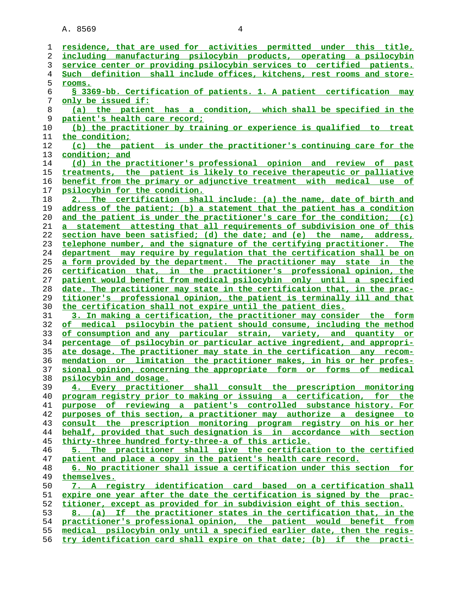| ı  | residence, that are used for activities permitted under this title,      |
|----|--------------------------------------------------------------------------|
| 2  | including manufacturing psilocybin products, operating a psilocybin      |
| 3  | service center or providing psilocybin services to certified patients.   |
| 4  | Such definition shall include offices, kitchens, rest rooms and store-   |
| 5  | <u>rooms.</u>                                                            |
| 6  | § 3369-bb. Certification of patients. 1. A patient certification may     |
| 7  | <u>only be issued if:</u>                                                |
| 8  | (a) the patient has a condition, which shall be specified in the         |
| 9  | patient's health care record;                                            |
| 10 | (b) the practitioner by training or experience is qualified to treat     |
| 11 | the condition:                                                           |
| 12 | (c) the patient is under the practitioner's continuing care for the      |
| 13 | condition; and                                                           |
| 14 | (d) in the practitioner's professional opinion and review of past        |
| 15 | treatments, the patient is likely to receive therapeutic or palliative   |
| 16 | benefit from the primary or adjunctive treatment with medical use of     |
| 17 | psilocybin for the condition.                                            |
| 18 | 2. The certification shall include: (a) the name, date of birth and      |
| 19 | address of the patient; (b) a statement that the patient has a condition |
| 20 | and the patient is under the practitioner's care for the condition; (c)  |
| 21 | a statement attesting that all requirements of subdivision one of this   |
|    |                                                                          |
| 22 | section have been satisfied; (d) the date; and (e) the name, address,    |
| 23 | telephone number, and the signature of the certifying practitioner. The  |
| 24 | department may require by regulation that the certification shall be on  |
| 25 | a form provided by the department. The practitioner may state in the     |
| 26 | certification that, in the practitioner's professional opinion, the      |
| 27 | patient would benefit from medical psilocybin only until a specified     |
| 28 | date. The practitioner may state in the certification that, in the prac- |
| 29 | titioner's professional opinion, the patient is terminally ill and that  |
| 30 | the certification shall not expire until the patient dies.               |
| 31 | 3. In making a certification, the practitioner may consider the form     |
| 32 | of medical psilocybin the patient should consume, including the method   |
| 33 | of consumption and any particular strain, variety, and quantity or       |
| 34 | percentage of psilocybin or particular active ingredient, and appropri-  |
| 35 | ate dosage. The practitioner may state in the certification any recom-   |
| 36 | mendation or limitation the practitioner makes, in his or her profes-    |
| 37 | sional opinion, concerning the appropriate form or forms of medical      |
| 38 | psilocybin and dosage.                                                   |
| 39 | 4. Every practitioner shall consult the prescription monitoring          |
| 40 | program registry prior to making or issuing a certification, for the     |
| 41 | purpose of reviewing a patient's controlled substance history. For       |
| 42 | purposes of this section, a practitioner may authorize a designee to     |
| 43 | consult the prescription monitoring program registry on his or her       |
| 44 | behalf, provided that such designation is in accordance with section     |
| 45 | thirty-three hundred forty-three-a of this article.                      |
| 46 | 5. The practitioner shall give the certification to the certified        |
| 47 | patient and place a copy in the patient's health care record.            |
| 48 | 6. No practitioner shall issue a certification under this section for    |
| 49 | themselves.                                                              |
| 50 | 7. A registry identification card based on a certification shall         |
| 51 | expire one year after the date the certification is signed by the prac-  |
| 52 | titioner, except as provided for in subdivision eight of this section.   |
| 53 | 8. (a) If the practitioner states in the certification that, in the      |
| 54 | practitioner's professional opinion, the patient would benefit from      |
| 55 | medical psilocybin only until a specified earlier date, then the regis-  |
| 56 | try identification card shall expire on that date; (b) if the practi-    |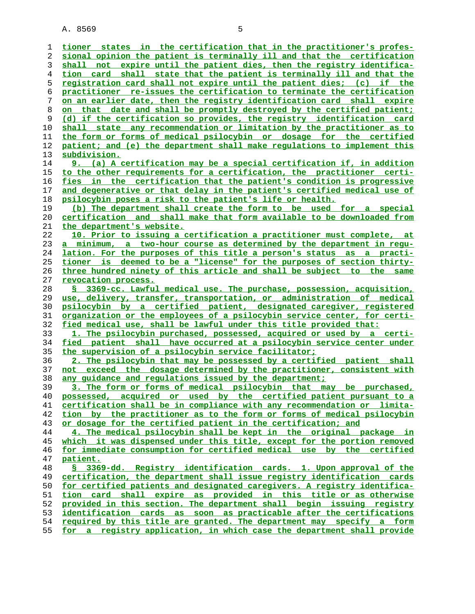| ı  | tioner states in the certification that in the practitioner's profes-         |
|----|-------------------------------------------------------------------------------|
| 2  | sional opinion the patient is terminally ill and that the certification       |
| 3  | shall not expire until the patient dies, then the registry identifica-        |
| 4  | tion card shall state that the patient is terminally ill and that the         |
| 5  | registration card shall not expire until the patient dies; (c) if the         |
| 6  | practitioner re-issues the certification to terminate the certification       |
| 7  | on an earlier date, then the registry identification card shall expire        |
| 8  | on that date and shall be promptly destroyed by the certified patient;        |
| 9  | (d) if the certification so provides, the registry identification card        |
| 10 | shall state any recommendation or limitation by the practitioner as to        |
| 11 | the form or forms of medical psilocybin or dosage for the certified           |
| 12 | patient; and (e) the department shall make requlations to implement this      |
| 13 | subdivision.                                                                  |
| 14 | 9. (a) A certification may be a special certification if, in addition         |
| 15 | to the other requirements for a certification, the practitioner certi-        |
| 16 | fies in the certification that the patient's condition is progressive         |
| 17 | and degenerative or that delay in the patient's certified medical use of      |
| 18 | psilocybin poses a risk to the patient's life or health.                      |
| 19 | (b) The department shall create the form to be used for a special             |
| 20 | <u>certification and shall make that form available to be downloaded from</u> |
| 21 | the department's website.                                                     |
| 22 | 10. Prior to issuing a certification a practitioner must complete, at         |
| 23 | a minimum, a two-hour course as determined by the department in requ-         |
| 24 | lation. For the purposes of this title a person's status as a practi-         |
| 25 | tioner is deemed to be a "license" for the purposes of section thirty-        |
| 26 | three hundred ninety of this article and shall be subject to the same         |
| 27 | revocation process.                                                           |
| 28 | S 3369-cc. Lawful medical use. The purchase, possession, acquisition,         |
| 29 | use, delivery, transfer, transportation, or administration of medical         |
| 30 | psilocybin by a certified patient, designated caregiver, registered           |
| 31 | organization or the employees of a psilocybin service center, for certi-      |
| 32 | fied medical use, shall be lawful under this title provided that:             |
| 33 | 1. The psilocybin purchased, possessed, acquired or used by a certi-          |
| 34 | fied patient shall have occurred at a psilocybin service center under         |
| 35 | the supervision of a psilocybin service facilitator;                          |
| 36 | 2. The psilocybin that may be possessed by a certified patient shall          |
| 37 | not exceed the dosage determined by the practitioner, consistent with         |
| 38 | any quidance and requlations issued by the department;                        |
| 39 | 3. The form or forms of medical psilocybin that may be purchased,             |
| 40 | possessed, acquired or used by the certified patient pursuant to a            |
| 41 | certification shall be in compliance with any recommendation or limita-       |
| 42 | tion by the practitioner as to the form or forms of medical psilocybin        |
| 43 | or dosage for the certified patient in the certification; and                 |
| 44 | 4. The medical psilocybin shall be kept in the original package in            |
| 45 | which it was dispensed under this title, except for the portion removed       |
| 46 | for immediate consumption for certified medical use by the certified          |
| 47 | patient.                                                                      |
| 48 | § 3369-dd. Registry identification cards. 1. Upon approval of the             |
| 49 | certification, the department shall issue registry identification cards       |
| 50 | for certified patients and designated caregivers. A registry identifica-      |
| 51 | tion card shall expire as provided in this title or as otherwise              |
| 52 | provided in this section. The department shall begin issuing registry         |
| 53 | identification cards as soon as practicable after the certifications          |
| 54 | required by this title are granted. The department may specify a form         |
| 55 | for a registry application, in which case the department shall provide        |
|    |                                                                               |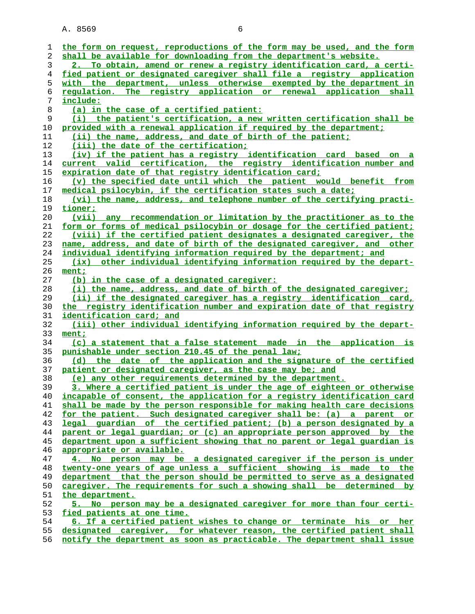|    | the form on request, reproductions of the form may be used, and the form        |
|----|---------------------------------------------------------------------------------|
| 1  |                                                                                 |
| 2  | shall be available for downloading from the department's website.               |
| 3  | 2. To obtain, amend or renew a registry identification card, a certi-           |
| 4  | fied patient or designated caregiver shall file a registry application          |
| 5  | with the department, unless otherwise exempted by the department in             |
| 6  | regulation. The registry application or renewal application shall               |
| 7  | include:                                                                        |
| 8  | (a) in the case of a certified patient:                                         |
| 9  | (i) the patient's certification, a new written certification shall be           |
| 10 | provided with a renewal application if required by the department;              |
| 11 | (ii) the name, address, and date of birth of the patient;                       |
| 12 | (iii) the date of the certification;                                            |
| 13 | (iv) if the patient has a registry identification card based on a               |
| 14 | current valid certification, the registry identification number and             |
| 15 | expiration date of that registry identification card;                           |
| 16 | (v) the specified date until which the patient would benefit from               |
| 17 | medical psilocybin, if the certification states such a date;                    |
| 18 | (vi) the name, address, and telephone number of the certifying practi-          |
| 19 | tioner;                                                                         |
|    | (vii) any recommendation or limitation by the practitioner as to the            |
| 20 |                                                                                 |
| 21 | <u>form or forms of medical psilocybin or dosage for the certified patient;</u> |
| 22 | (viii) if the certified patient designates a designated caregiver, the          |
| 23 | name, address, and date of birth of the designated caregiver, and other         |
| 24 | individual identifying information required by the department; and              |
| 25 | other individual identifying information required by the depart-<br>(ix)        |
| 26 | ment;                                                                           |
| 27 | (b) in the case of a designated caregiver:                                      |
| 28 | (i) the name, address, and date of birth of the designated caregiver;           |
| 29 | (ii) if the designated caregiver has a registry identification card,            |
| 30 | the registry identification number and expiration date of that registry         |
| 31 | identification card; and                                                        |
| 32 | (iii) other individual identifying information required by the depart-          |
| 33 | ment;                                                                           |
| 34 | (c) a statement that a false statement made in the application is               |
| 35 | punishable under section 210.45 of the penal law;                               |
| 36 | (d) the date of the application and the signature of the certified              |
| 37 | patient or designated caregiver, as the case may be; and                        |
| 38 | (e) any other requirements determined by the department.                        |
| 39 | 3. Where a certified patient is under the age of eighteen or otherwise          |
| 40 | incapable of consent, the application for a registry identification card        |
| 41 | shall be made by the person responsible for making health care decisions        |
| 42 | for the patient. Such designated caregiver shall be: (a) a parent or            |
| 43 | legal quardian of the certified patient; (b) a person designated by a           |
| 44 | parent or legal guardian; or (c) an appropriate person approved by the          |
| 45 | department upon a sufficient showing that no parent or legal quardian is        |
| 46 | appropriate or available.                                                       |
| 47 | 4. No person may be a designated caregiver if the person is under               |
| 48 | twenty-one years of age unless a sufficient showing is made to the              |
| 49 | department that the person should be permitted to serve as a designated         |
| 50 | caregiver. The requirements for such a showing shall be determined by           |
| 51 | the department.                                                                 |
| 52 | 5. No person may be a designated caregiver for more than four certi-            |
| 53 |                                                                                 |
| 54 | fied patients at one time.                                                      |
|    | 6. If a certified patient wishes to change or terminate his or her              |
| 55 | designated caregiver, for whatever reason, the certified patient shall          |
| 56 | notify the department as soon as practicable. The department shall issue        |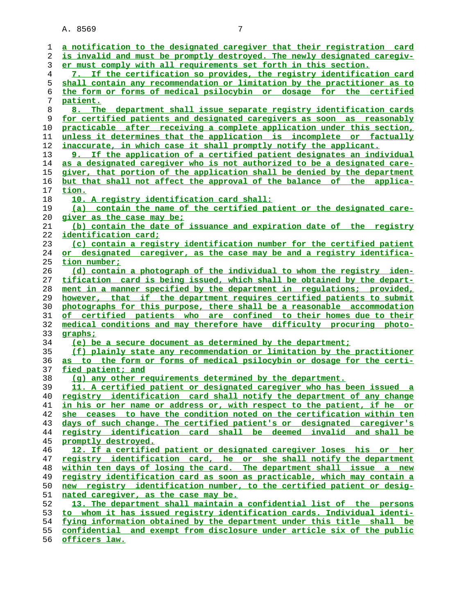| 1        |                                                                                                                                                   |
|----------|---------------------------------------------------------------------------------------------------------------------------------------------------|
|          | a notification to the designated caregiver that their registration card                                                                           |
| 2        | is invalid and must be promptly destroyed. The newly designated caregiv-                                                                          |
| 3        | er must comply with all requirements set forth in this section.                                                                                   |
| 4        | 7. If the certification so provides, the registry identification card                                                                             |
| 5        | shall contain any recommendation or limitation by the practitioner as to                                                                          |
| 6        | the form or forms of medical psilocybin or dosage for the certified                                                                               |
| 7        | patient.                                                                                                                                          |
| 8        | 8. The department shall issue separate registry identification cards                                                                              |
| 9        | for certified patients and designated caregivers as soon as reasonably                                                                            |
| 10       | practicable after receiving a complete application under this section,                                                                            |
| 11       | unless it determines that the application is incomplete or factually                                                                              |
| 12       | inaccurate, in which case it shall promptly notify the applicant.                                                                                 |
| 13       | 9. If the application of a certified patient designates an individual                                                                             |
| 14       | as a designated caregiver who is not authorized to be a designated care-                                                                          |
| 15       | giver, that portion of the application shall be denied by the department                                                                          |
| 16       | <u>but that shall not affect the approval of the balance of the applica-</u>                                                                      |
| 17       | tion.                                                                                                                                             |
| 18       | 10. A registry identification card shall:                                                                                                         |
| 19       | (a) contain the name of the certified patient or the designated care-                                                                             |
| 20       | <u>giver as the case may be;</u>                                                                                                                  |
| 21       | (b) contain the date of issuance and expiration date of the registry                                                                              |
| 22       | <u>identification card;</u>                                                                                                                       |
| 23       | (c) contain a registry identification number for the certified patient                                                                            |
| 24       | or designated caregiver, as the case may be and a registry identifica-                                                                            |
| 25       | tion number;                                                                                                                                      |
| 26       | (d) contain a photograph of the individual to whom the registry iden-                                                                             |
| 27       | tification card is being issued, which shall be obtained by the depart-                                                                           |
| 28       | ment in a manner specified by the department in requlations; provided,                                                                            |
| 29       | however, that if the department requires certified patients to submit                                                                             |
| 30       | photographs for this purpose, there shall be a reasonable accommodation                                                                           |
| 31       | of certified patients who are confined to their homes due to their                                                                                |
| 32       | medical conditions and may therefore have difficulty procuring photo-                                                                             |
|          |                                                                                                                                                   |
| 33       | graphs;                                                                                                                                           |
| 34       | (e) be a secure document as determined by the department;                                                                                         |
| 35       | (f) plainly state any recommendation or limitation by the practitioner                                                                            |
| 36       | as to the form or forms of medical psilocybin or dosage for the certi-                                                                            |
| 37       | fied patient; and                                                                                                                                 |
| 38       | (q) any other requirements determined by the department.                                                                                          |
| 39       | 11. A certified patient or designated caregiver who has been issued a                                                                             |
| 40       | <u>registry identification card shall notify the department of any change</u>                                                                     |
| 41       | in his or her name or address or, with respect to the patient, if he or                                                                           |
| 42       | she ceases to have the condition noted on the certification within ten                                                                            |
| 43       | days of such change. The certified patient's or designated caregiver's                                                                            |
| 44       | registry identification card shall be deemed invalid and shall be                                                                                 |
| 45       | promptly destroyed.                                                                                                                               |
| 46       | 12. If a certified patient or designated caregiver loses his or her                                                                               |
| 47       | registry identification card, he or she shall notify the department                                                                               |
| 48       | within ten days of losing the card. The department shall issue a new                                                                              |
| 49       | registry identification card as soon as practicable, which may contain a                                                                          |
| 50       | new registry identification number, to the certified patient or desig-                                                                            |
| 51       | nated caregiver, as the case may be.                                                                                                              |
| 52       | 13. The department shall maintain a confidential list of the persons                                                                              |
| 53       | whom it has issued registry identification cards. Individual identi-<br>to l                                                                      |
| 54<br>55 | fying information obtained by the department under this title shall be<br>confidential and exempt from disclosure under article six of the public |

**officers law.**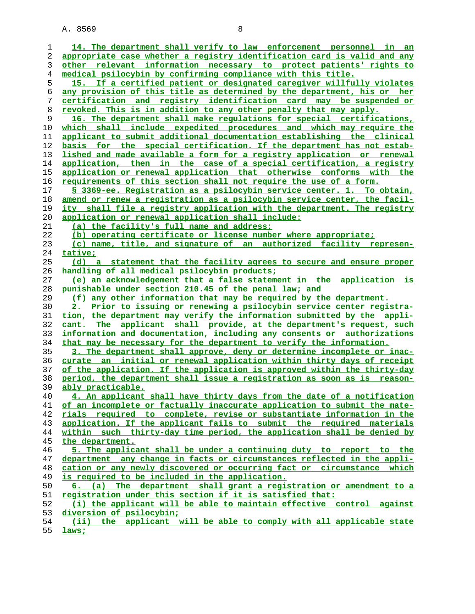| 1        | 14. The department shall verify to law enforcement personnel in an                                                                            |
|----------|-----------------------------------------------------------------------------------------------------------------------------------------------|
| 2        | appropriate case whether a registry identification card is valid and any                                                                      |
| 3        | other relevant information necessary to protect patients' rights to                                                                           |
| 4        | medical psilocybin by confirming compliance with this title.                                                                                  |
| 5        | 15. If a certified patient or designated caregiver willfully violates                                                                         |
| 6        | any provision of this title as determined by the department, his or her                                                                       |
| 7        | certification and registry identification card may be suspended or                                                                            |
| 8        | revoked. This is in addition to any other penalty that may apply.                                                                             |
| 9        | 16. The department shall make regulations for special certifications,                                                                         |
| 10       | which shall include expedited procedures and which may require the                                                                            |
| 11       | applicant to submit additional documentation establishing the clinical                                                                        |
| 12       | basis for the special certification. If the department has not estab-                                                                         |
| 13       | lished and made available a form for a registry application or renewal                                                                        |
| 14       | application, then in the case of a special certification, a registry                                                                          |
| 15       | application or renewal application that otherwise conforms with the                                                                           |
| 16       | requirements of this section shall not require the use of a form.                                                                             |
| 17       | § 3369-ee. Registration as a psilocybin service center. 1. To obtain,                                                                         |
| 18       | amend or renew a registration as a psilocybin service center, the facil-                                                                      |
| 19       | ity shall file a registry application with the department. The registry                                                                       |
| 20       | application or renewal application shall include:                                                                                             |
| 21       | (a) the facility's full name and address;                                                                                                     |
| 22       | (b) operating certificate or license number where appropriate;                                                                                |
| 23       | (c) name, title, and signature of an authorized facility represen-                                                                            |
| 24       | tative;                                                                                                                                       |
| 25       | (d) a statement that the facility agrees to secure and ensure proper                                                                          |
| 26       | handling of all medical psilocybin products;                                                                                                  |
| 27       | (e) an acknowledgement that a false statement in the application is                                                                           |
|          |                                                                                                                                               |
| 28       | punishable under section 210.45 of the penal law; and                                                                                         |
| 29       | (f) any other information that may be required by the department.                                                                             |
| 30       | 2. Prior to issuing or renewing a psilocybin service center registra-                                                                         |
| 31       | tion, the department may verify the information submitted by the appli-                                                                       |
| 32       | cant. The applicant shall provide, at the department's request, such                                                                          |
| 33       | information and documentation, including any consents or authorizations                                                                       |
| 34       | that may be necessary for the department to verify the information.                                                                           |
| 35       | 3. The department shall approve, deny or determine incomplete or inac-                                                                        |
| 36       | curate an initial or renewal application within thirty days of receipt                                                                        |
| 37       | of the application. If the application is approved within the thirty-day                                                                      |
| 38       | period, the department shall issue a registration as soon as is reason-                                                                       |
| 39       | ably practicable.                                                                                                                             |
| 40       | 4. An applicant shall have thirty days from the date of a notification                                                                        |
| 41       | of an incomplete or factually inaccurate application to submit the mate-                                                                      |
| 42       | rials required to complete, revise or substantiate information in the                                                                         |
| 43       | application. If the applicant fails to submit the required materials                                                                          |
| 44<br>45 | within such thirty-day time period, the application shall be denied by                                                                        |
| 46       | the department.                                                                                                                               |
| 47       | 5. The applicant shall be under a continuing duty to report to the<br>department any change in facts or circumstances reflected in the appli- |
| 48       | cation or any newly discovered or occurring fact or circumstance<br>which                                                                     |
| 49       | is required to be included in the application.                                                                                                |
| 50       | 6. (a) The department shall grant a registration or amendment to a                                                                            |
| 51       | <u>reqistration under this section if it is satisfied that:</u>                                                                               |
| 52       | (i) the applicant will be able to maintain effective control against                                                                          |
| 53       | diversion of psilocybin;                                                                                                                      |
| 54       | the applicant will be able to comply with all applicable state<br>(iii)                                                                       |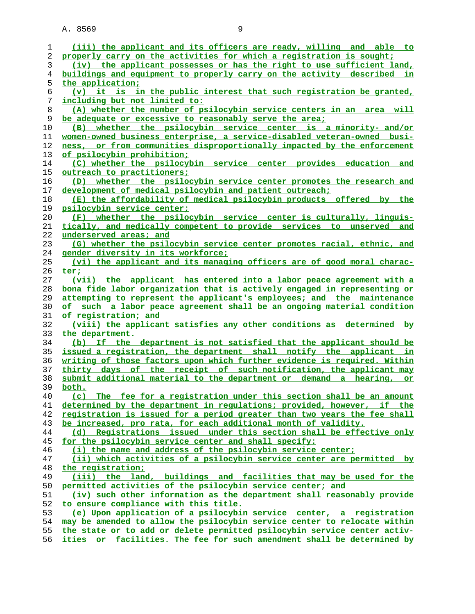| 1              | (iii) the applicant and its officers are ready, willing and able to       |
|----------------|---------------------------------------------------------------------------|
| 2              | properly carry on the activities for which a registration is sought;      |
| 3              | (iv) the applicant possesses or has the right to use sufficient land,     |
| $\overline{4}$ | buildings and equipment to properly carry on the activity described<br>in |
| 5              | the application;                                                          |
| 6              | (v) it is in the public interest that such registration be granted,       |
| 7              | <u>including but not limited to:</u>                                      |
|                |                                                                           |
| 8              | (A) whether the number of psilocybin service centers in an area will      |
| 9              | be adequate or excessive to reasonably serve the area;                    |
| 10             | whether the psilocybin service center is a minority- and/or<br>(B)        |
| 11             | women-owned business enterprise, a service-disabled veteran-owned busi-   |
| 12             | ness, or from communities disproportionally impacted by the enforcement   |
| 13             | of psilocybin prohibition;                                                |
| 14             | (C) whether the psilocybin service center provides education and          |
| 15             | outreach to practitioners;                                                |
| 16             | (D) whether the psilocybin service center promotes the research and       |
|                |                                                                           |
| 17             | development of medical psilocybin and patient outreach;                   |
| 18             | (E) the affordability of medical psilocybin products offered by the       |
| 19             | psilocybin service center;                                                |
| 20             | (F) whether the psilocybin service center is culturally, linguis-         |
| 21             | tically, and medically competent to provide services to unserved and      |
| 22             | underserved areas; and                                                    |
| 23             | (G) whether the psilocybin service center promotes racial, ethnic, and    |
| 24             | gender diversity in its workforce;                                        |
| 25             | (vi) the applicant and its managing officers are of good moral charac-    |
|                |                                                                           |
| 26             | ter;                                                                      |
| 27             | (vii) the applicant has entered into a labor peace agreement with a       |
| 28             | bona fide labor organization that is actively engaged in representing or  |
| 29             | attempting to represent the applicant's employees; and the maintenance    |
| 30             | of such a labor peace agreement shall be an ongoing material condition    |
| 31             | of registration; and                                                      |
| 32             | (viii) the applicant satisfies any other conditions as determined by      |
| 33             | the department.                                                           |
| 34             | (b) If the department is not satisfied that the applicant should be       |
| 35             | issued a registration, the department shall notify the applicant in       |
| 36             | writing of those factors upon which further evidence is required. Within  |
|                |                                                                           |
| 37             | thirty days of the receipt of such notification, the applicant may        |
| 38             | submit additional material to the department or demand a hearing, or      |
| 39             | both.                                                                     |
| 40             | (c) The fee for a registration under this section shall be an amount      |
| 41             | determined by the department in requlations; provided, however, if the    |
| 42             | registration is issued for a period greater than two years the fee shall  |
| 43             | be increased, pro rata, for each additional month of validity.            |
| 44             | (d) Registrations issued under this section shall be effective only       |
| 45             | for the psilocybin service center and shall specify:                      |
| 46             | (i) the name and address of the psilocybin service center;                |
| 47             | (ii) which activities of a psilocybin service center are permitted by     |
|                | the registration;                                                         |
| 48             |                                                                           |
| 49             | (iii) the land, buildings and facilities that may be used for the         |
| 50             | permitted activities of the psilocybin service center; and                |
| 51             | (iv) such other information as the department shall reasonably provide    |
| 52             | to ensure compliance with this title.                                     |
| 53             | (e) Upon application of a psilocybin service center, a registration       |
| 54             | may be amended to allow the psilocybin service center to relocate within  |
| 55             | the state or to add or delete permitted psilocybin service center activ-  |
| 56             | ities or facilities. The fee for such amendment shall be determined by    |
|                |                                                                           |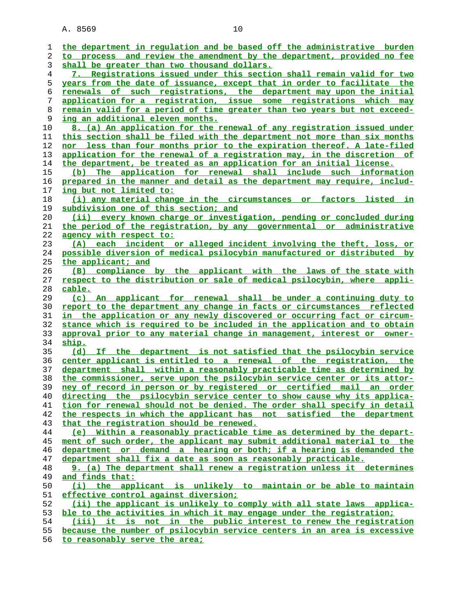| 1        | the department in regulation and be based off the administrative burden                                                                                |
|----------|--------------------------------------------------------------------------------------------------------------------------------------------------------|
| 2        | to process and review the amendment by the department, provided no fee                                                                                 |
| 3        | shall be greater than two thousand dollars.                                                                                                            |
| 4        | 7. Registrations issued under this section shall remain valid for two                                                                                  |
| 5        | years from the date of issuance, except that in order to facilitate the                                                                                |
| 6        | renewals of such registrations, the department may upon the initial                                                                                    |
| 7        | application for a registration, issue some registrations which may                                                                                     |
| 8        | remain valid for a period of time greater than two years but not exceed-                                                                               |
| 9        | <u>ing an additional eleven months.</u>                                                                                                                |
| 10       | 8. (a) An application for the renewal of any registration issued under                                                                                 |
| 11       | this section shall be filed with the department not more than six months                                                                               |
| 12       | nor less than four months prior to the expiration thereof. A late-filed                                                                                |
|          |                                                                                                                                                        |
| 13<br>14 | <u>application for the renewal of a registration may, in the discretion of</u><br>the department, be treated as an application for an initial license. |
|          |                                                                                                                                                        |
| 15       | (b) The application for renewal shall include such information                                                                                         |
| 16       | prepared in the manner and detail as the department may require, includ-                                                                               |
| 17       | <u>ing but not limited to:</u>                                                                                                                         |
| 18       | (i) any material change in the circumstances or factors listed in                                                                                      |
| 19       | subdivision one of this section; and                                                                                                                   |
| 20       | every known charge or investigation, pending or concluded during<br>(ii)                                                                               |
| 21       | the period of the registration, by any governmental or administrative                                                                                  |
| 22       | agency with respect to:                                                                                                                                |
| 23       | (A) each incident or alleged incident involving the theft, loss, or                                                                                    |
| 24       | possible diversion of medical psilocybin manufactured or distributed by                                                                                |
| 25       | <u>the applicant; and</u>                                                                                                                              |
| 26       | (B) compliance by the applicant with the laws of the state with                                                                                        |
| 27       | respect to the distribution or sale of medical psilocybin, where appli-                                                                                |
|          |                                                                                                                                                        |
| 28       | cable.                                                                                                                                                 |
| 29       | (c) An applicant for renewal shall be under a continuing duty to                                                                                       |
| 30       | report to the department any change in facts or circumstances reflected                                                                                |
| 31       | in the application or any newly discovered or occurring fact or circum-                                                                                |
| 32       | stance which is required to be included in the application and to obtain                                                                               |
| 33       | approval prior to any material change in management, interest or owner-                                                                                |
| 34       | ship.                                                                                                                                                  |
| 35       | (d) If the department is not satisfied that the psilocybin service                                                                                     |
| 36       | center applicant is entitled to a renewal of the registration, the                                                                                     |
| 37       | department shall within a reasonably practicable time as determined by                                                                                 |
| 38       | the commissioner, serve upon the psilocybin service center or its attor-                                                                               |
| 39       | an<br>order                                                                                                                                            |
| 40       | ney of record in person or by registered or certified mail                                                                                             |
|          | directing the psilocybin service center to show cause why its applica-                                                                                 |
| 41       | tion for renewal should not be denied. The order shall specify in detail                                                                               |
| 42       | the respects in which the applicant has not satisfied the department                                                                                   |
| 43<br>44 | that the registration should be renewed.<br>(e) Within a reasonably practicable time as determined by the depart-                                      |
| 45       | ment of such order, the applicant may submit additional material to the                                                                                |
| 46       | department or demand a hearing or both; if a hearing is demanded the                                                                                   |
| 47       | department shall fix a date as soon as reasonably practicable.                                                                                         |
| 48       |                                                                                                                                                        |
|          | 9. (a) The department shall renew a registration unless it determines                                                                                  |
| 49<br>50 | and finds that:<br>(i) the applicant is unlikely to maintain or be able to maintain                                                                    |
| 51       | effective control against diversion;                                                                                                                   |
| 52       | (ii) the applicant is unlikely to comply with all state laws applica-                                                                                  |
| 53       | ble to the activities in which it may engage under the registration;                                                                                   |
| 54       | (iii) it is not in the public interest to renew the registration                                                                                       |
| 55       | because the number of psilocybin service centers in an area is excessive                                                                               |

**to reasonably serve the area;**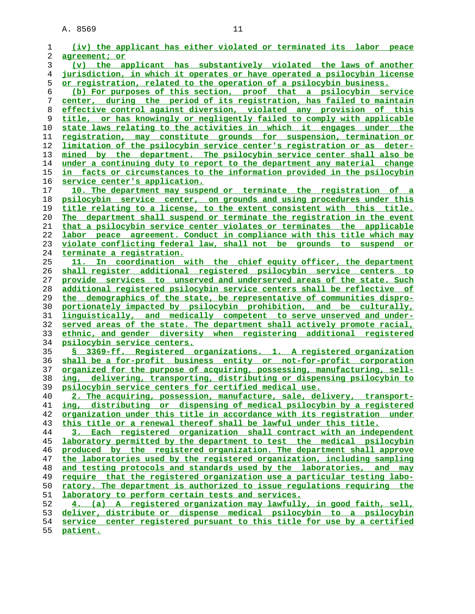| 1              | (iv) the applicant has either violated or terminated its labor peace       |
|----------------|----------------------------------------------------------------------------|
| 2              | agreement; or                                                              |
| 3              | (v) the applicant has substantively violated the laws of another           |
| $\overline{4}$ | jurisdiction, in which it operates or have operated a psilocybin license   |
| 5              | <u>or registration, related to the operation of a psilocybin business.</u> |
| 6              | (b) For purposes of this section, proof that a psilocybin service          |
| 7              | center, during the period of its registration, has failed to maintain      |
| 8              | effective control against diversion, violated any provision of this        |
| 9              | title, or has knowingly or negligently failed to comply with applicable    |
| 10             | state laws relating to the activities in which it engages under the        |
| 11             | registration, may constitute grounds for suspension, termination or        |
| 12             | limitation of the psilocybin service center's registration or as deter-    |
| 13             | mined by the department. The psilocybin service center shall also be       |
| 14             | under a continuing duty to report to the department any material change    |
| 15             | in facts or circumstances to the information provided in the psilocybin    |
| 16             | service center's application.                                              |
| 17             | 10. The department may suspend or terminate the registration of a          |
| 18             | psilocybin service center, on grounds and using procedures under this      |
| 19             | title relating to a license, to the extent consistent with this title.     |
| 20             | The department shall suspend or terminate the registration in the event    |
| 21             | that a psilocybin service center violates or terminates the applicable     |
| 22             | labor peace agreement. Conduct in compliance with this title which may     |
| 23             | violate conflicting federal law, shall not be grounds to suspend or        |
| 24             | terminate a registration.                                                  |
| 25             | 11. In coordination with the chief equity officer, the department          |
| 26             | shall register additional registered psilocybin service centers to         |
| 27             | provide services to unserved and underserved areas of the state. Such      |
| 28             | additional registered psilocybin service centers shall be reflective of    |
| 29             | the demographics of the state, be representative of communities dispro-    |
| 30             | portionately impacted by psilocybin prohibition, and be culturally,        |
| 31             | linguistically, and medically competent to serve unserved and under-       |
| 32             | served areas of the state. The department shall actively promote racial,   |
| 33             | ethnic, and gender diversity when registering additional registered        |
| 34             | psilocybin service centers.                                                |
| 35             | § 3369-ff. Registered organizations. 1. A registered organization          |
| 36             | shall be a for-profit business entity or not-for-profit corporation        |
| 37             | organized for the purpose of acquiring, possessing, manufacturing, sell-   |
| 38             | ing, delivering, transporting, distributing or dispensing psilocybin to    |
| 39             | psilocybin service centers for certified medical use.                      |
| 40             | 2. The acquiring, possession, manufacture, sale, delivery, transport-      |
| 41             | ing, distributing or dispensing of medical psilocybin by a registered      |
| 42             | organization under this title in accordance with its registration under    |
| 43             | this title or a renewal thereof shall be lawful under this title.          |
| 44             | 3. Each registered organization shall contract with an independent         |
| 45             | laboratory permitted by the department to test the medical psilocybin      |
| 46             | produced by the registered organization. The department shall approve      |
| 47             | the laboratories used by the registered organization, including sampling   |
| 48             | and testing protocols and standards used by the laboratories, and may      |
| 49             | require that the registered organization use a particular testing labo-    |
| 50             | ratory. The department is authorized to issue regulations requiring the    |
| 51             | laboratory to perform certain tests and services.                          |
| 52             | 4. (a) A registered organization may lawfully, in good faith, sell,        |
| 53             | deliver, distribute or dispense medical psilocybin to a psilocybin         |
| 54             | service center registered pursuant to this title for use by a certified    |
| 55             | patient.                                                                   |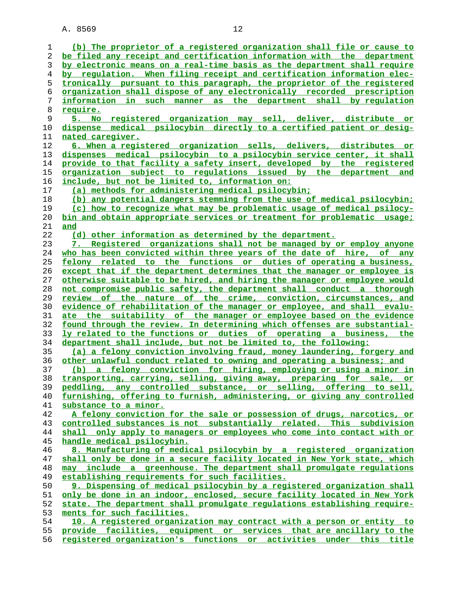**(b) The proprietor of a registered organization shall file or cause to be filed any receipt and certification information with the department by electronic means on a real-time basis as the department shall require by regulation. When filing receipt and certification information elec- tronically pursuant to this paragraph, the proprietor of the registered organization shall dispose of any electronically recorded prescription information in such manner as the department shall by regulation require. 5. No registered organization may sell, deliver, distribute or dispense medical psilocybin directly to a certified patient or desig- nated caregiver. 6. When a registered organization sells, delivers, distributes or dispenses medical psilocybin to a psilocybin service center, it shall provide to that facility a safety insert, developed by the registered organization subject to regulations issued by the department and include, but not be limited to, information on: (a) methods for administering medical psilocybin; (b) any potential dangers stemming from the use of medical psilocybin; (c) how to recognize what may be problematic usage of medical psilocy- bin and obtain appropriate services or treatment for problematic usage; and (d) other information as determined by the department. 7. Registered organizations shall not be managed by or employ anyone who has been convicted within three years of the date of hire, of any felony related to the functions or duties of operating a business, except that if the department determines that the manager or employee is otherwise suitable to be hired, and hiring the manager or employee would not compromise public safety, the department shall conduct a thorough review of the nature of the crime, conviction, circumstances, and evidence of rehabilitation of the manager or employee, and shall evalu- ate the suitability of the manager or employee based on the evidence found through the review. In determining which offenses are substantial- ly related to the functions or duties of operating a business, the department shall include, but not be limited to, the following: (a) a felony conviction involving fraud, money laundering, forgery and other unlawful conduct related to owning and operating a business; and (b) a felony conviction for hiring, employing or using a minor in transporting, carrying, selling, giving away, preparing for sale, or peddling, any controlled substance, or selling, offering to sell, furnishing, offering to furnish, administering, or giving any controlled substance to a minor. A felony conviction for the sale or possession of drugs, narcotics, or controlled substances is not substantially related. This subdivision shall only apply to managers or employees who come into contact with or handle medical psilocybin. 8. Manufacturing of medical psilocybin by a registered organization shall only be done in a secure facility located in New York state, which**

**may include a greenhouse. The department shall promulgate regulations establishing requirements for such facilities.**

9. Dispensing of medical psilocybin by a registered organization shall **only be done in an indoor, enclosed, secure facility located in New York state. The department shall promulgate regulations establishing require- ments for such facilities.**

**10. A registered organization may contract with a person or entity to provide facilities, equipment or services that are ancillary to the registered organization's functions or activities under this title**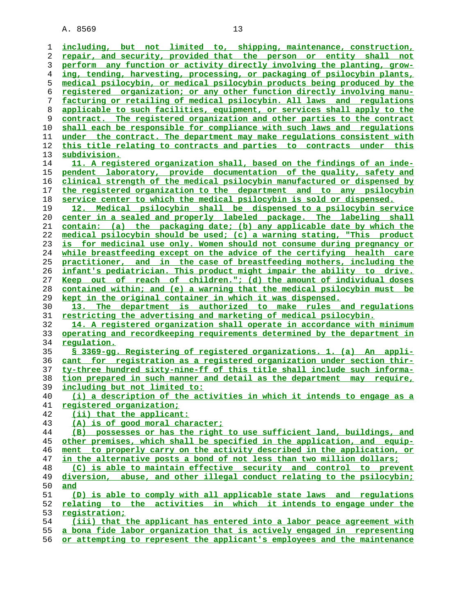**including, but not limited to, shipping, maintenance, construction, repair, and security, provided that the person or entity shall not perform any function or activity directly involving the planting, grow- ing, tending, harvesting, processing, or packaging of psilocybin plants, medical psilocybin, or medical psilocybin products being produced by the registered organization; or any other function directly involving manu- facturing or retailing of medical psilocybin. All laws and regulations applicable to such facilities, equipment, or services shall apply to the contract. The registered organization and other parties to the contract shall each be responsible for compliance with such laws and regulations under the contract. The department may make regulations consistent with this title relating to contracts and parties to contracts under this subdivision. 11. A registered organization shall, based on the findings of an inde- pendent laboratory, provide documentation of the quality, safety and clinical strength of the medical psilocybin manufactured or dispensed by the registered organization to the department and to any psilocybin service center to which the medical psilocybin is sold or dispensed. 12. Medical psilocybin shall be dispensed to a psilocybin service center in a sealed and properly labeled package. The labeling shall contain: (a) the packaging date; (b) any applicable date by which the medical psilocybin should be used; (c) a warning stating, "This product is for medicinal use only. Women should not consume during pregnancy or while breastfeeding except on the advice of the certifying health care practitioner, and in the case of breastfeeding mothers, including the infant's pediatrician. This product might impair the ability to drive. Keep out of reach of children."; (d) the amount of individual doses contained within; and (e) a warning that the medical psilocybin must be kept in the original container in which it was dispensed. 13. The department is authorized to make rules and regulations restricting the advertising and marketing of medical psilocybin. 14. A registered organization shall operate in accordance with minimum operating and recordkeeping requirements determined by the department in regulation. § 3369-gg. Registering of registered organizations. 1. (a) An appli- cant for registration as a registered organization under section thir- ty-three hundred sixty-nine-ff of this title shall include such informa- tion prepared in such manner and detail as the department may require, including but not limited to: (i) a description of the activities in which it intends to engage as a registered organization; (ii) that the applicant: (A) is of good moral character; (B) possesses or has the right to use sufficient land, buildings, and other premises, which shall be specified in the application, and equip- ment to properly carry on the activity described in the application, or in the alternative posts a bond of not less than two million dollars; (C) is able to maintain effective security and control to prevent diversion, abuse, and other illegal conduct relating to the psilocybin; and (D) is able to comply with all applicable state laws and regulations relating to the activities in which it intends to engage under the registration; (iii) that the applicant has entered into a labor peace agreement with a bona fide labor organization that is actively engaged in representing**

**or attempting to represent the applicant's employees and the maintenance**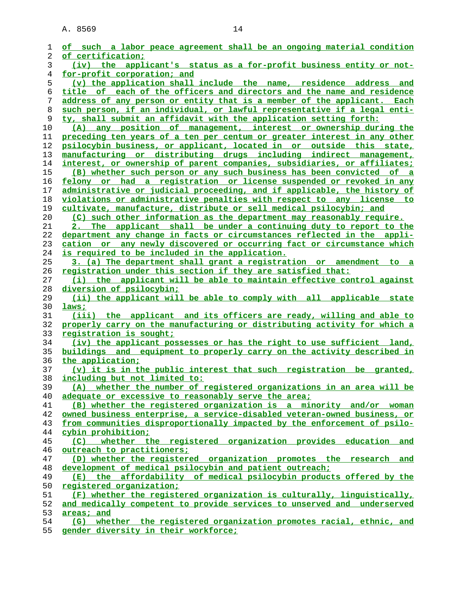| 1  | of such a labor peace agreement shall be an ongoing material condition          |
|----|---------------------------------------------------------------------------------|
| 2  | of certification;                                                               |
| 3  | (iv) the applicant's status as a for-profit business entity or not-             |
| 4  | for-profit corporation; and                                                     |
| 5  | (v) the application shall include the name, residence address and               |
| 6  | title of each of the officers and directors and the name and residence          |
| 7  | address of any person or entity that is a member of the applicant. Each         |
| 8  | such person, if an individual, or lawful representative if a legal enti-        |
| 9  | ty, shall submit an affidavit with the application setting forth:               |
| 10 | (A) any position of management, interest or ownership during the                |
| 11 | preceding ten years of a ten per centum or greater interest in any other        |
| 12 | psilocybin business, or applicant, located in or outside this state,            |
| 13 | manufacturing or distributing drugs including indirect management,              |
| 14 | interest, or ownership of parent companies, subsidiaries, or affiliates;        |
| 15 | (B) whether such person or any such business has been convicted of a            |
| 16 | felony or had a registration or license suspended or revoked in any             |
| 17 | administrative or judicial proceeding, and if applicable, the history of        |
| 18 | violations or administrative penalties with respect to any license to           |
| 19 | cultivate, manufacture, distribute or sell medical psilocybin; and              |
| 20 | (C) such other information as the department may reasonably require.            |
| 21 | 2. The applicant shall be under a continuing duty to report to the              |
| 22 | department any change in facts or circumstances reflected in the appli-         |
| 23 | cation or any newly discovered or occurring fact or circumstance which          |
| 24 | is required to be included in the application.                                  |
| 25 | 3. (a) The department shall grant a registration or amendment to a              |
| 26 | registration under this section if they are satisfied that:                     |
| 27 | (i) the applicant will be able to maintain effective control against            |
| 28 | diversion of psilocybin;                                                        |
| 29 | (ii) the applicant will be able to comply with all applicable<br>state          |
| 30 | laws;                                                                           |
| 31 | (iii) the applicant and its officers are ready, willing and able to             |
| 32 | properly carry on the manufacturing or distributing activity for which a        |
| 33 | <u>registration is sought;</u>                                                  |
| 34 | (iv) the applicant possesses or has the right to use sufficient land,           |
| 35 | buildings and equipment to properly carry on the activity described in          |
| 36 | the application:                                                                |
| 37 | (v) it is in the public interest that such registration be granted,             |
| 38 | including but not limited to:                                                   |
| 39 | (A) whether the number of registered organizations in an area will be           |
| 40 | adequate or excessive to reasonably serve the area;                             |
| 41 | (B) whether the registered organization is a minority and/or woman              |
| 42 | owned business enterprise, a service-disabled veteran-owned business, or        |
| 43 | from communities disproportionally impacted by the enforcement of psilo-        |
| 44 | cybin prohibition;                                                              |
| 45 | (C) whether the registered organization provides education and                  |
| 46 | outreach to practitioners;                                                      |
| 47 | (D) whether the registered organization promotes the research and               |
| 48 | development of medical psilocybin and patient outreach;                         |
| 49 | (E) the affordability of medical psilocybin products offered by the             |
| 50 | registered organization;                                                        |
| 51 | (F) whether the registered organization is culturally, linguistically,          |
| 52 | and medically competent to provide services to unserved and underserved         |
| 53 | areas; and                                                                      |
| 54 | (G) whether the registered organization promotes racial, ethnic, and            |
| ее | ومكامل والمتحدث والمتواط والمستند والمستند والمستحدث والمنادي والمستند والمستند |

**gender diversity in their workforce;**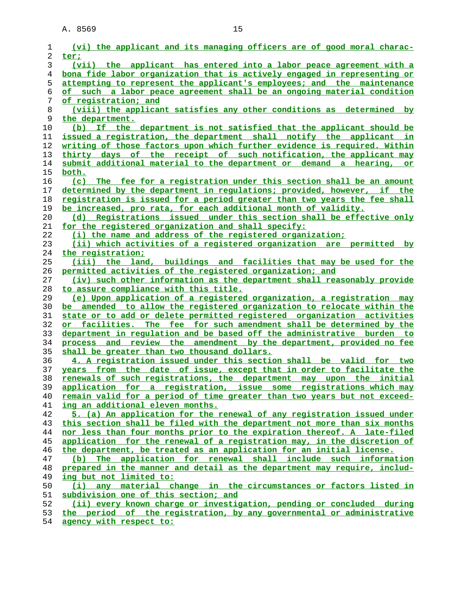| ı              | (vi) the applicant and its managing officers are of good moral charac-                                        |
|----------------|---------------------------------------------------------------------------------------------------------------|
| 2              | ter;                                                                                                          |
| 3              | (vii) the applicant has entered into a labor peace agreement with a                                           |
| $\overline{4}$ | bona fide labor organization that is actively engaged in representing or                                      |
| 5              | attempting to represent the applicant's employees; and the maintenance                                        |
| 6              | of such a labor peace agreement shall be an ongoing material condition                                        |
| 7              | of registration; and                                                                                          |
| 8              | (viii) the applicant satisfies any other conditions as determined by                                          |
| 9              | the department.                                                                                               |
| 10             | (b) If the department is not satisfied that the applicant should be                                           |
| 11             | issued a registration, the department shall notify the applicant in                                           |
| 12             | <u>writing of those factors upon which further evidence is required. Within</u>                               |
| 13             | thirty days of the receipt of such notification, the applicant may                                            |
| 14             | submit additional material to the department or demand a hearing, or                                          |
| 15             | <u>both.</u>                                                                                                  |
| 16             | (c) The fee for a registration under this section shall be an amount                                          |
| 17             | determined by the department in requlations; provided, however, if the                                        |
| 18             | registration is issued for a period greater than two years the fee shall                                      |
| 19             | be increased, pro rata, for each additional month of validity.                                                |
| 20             | (d) Registrations issued under this section shall be effective only                                           |
| 21             | for the registered organization and shall specify:                                                            |
| 22             | (i) the name and address of the registered organization;                                                      |
| 23             | (ii) which activities of a registered organization are permitted by                                           |
| 24             | the registration;                                                                                             |
| 25             | (iii) the land, buildings and facilities that may be used for the                                             |
| 26             | permitted activities of the registered organization; and                                                      |
| 27             | (iv) such other information as the department shall reasonably provide                                        |
| 28             | to assure compliance with this title.                                                                         |
| 29             | (e) Upon application of a registered organization, a registration may                                         |
| 30             | be amended to allow the registered organization to relocate within the                                        |
| 31             | state or to add or delete permitted registered organization activities                                        |
| 32             | or facilities. The fee for such amendment shall be determined by the                                          |
| 33             | department in regulation and be based off the administrative burden to                                        |
| 34             | process and review the amendment by the department, provided no fee                                           |
| 35             | shall be greater than two thousand dollars.                                                                   |
| 36             | 4. A registration issued under this section shall be valid for two                                            |
| 37             | years from the date of issue, except that in order to facilitate the                                          |
| 38             | renewals of such registrations, the department may upon the initial                                           |
| 39             | application for a registration, issue some registrations which may                                            |
| 40             | remain valid for a period of time greater than two years but not exceed-                                      |
| 41             | ing an additional eleven months.                                                                              |
| 42             | 5. (a) An application for the renewal of any registration issued under                                        |
| 43             | this section shall be filed with the department not more than six months                                      |
| 44             | nor less than four months prior to the expiration thereof. A late-filed                                       |
| 45             | application for the renewal of a registration may, in the discretion of                                       |
| 46             | the department, be treated as an application for an initial license.                                          |
| 47             | (b) The application for renewal shall include such information                                                |
| 48             | prepared in the manner and detail as the department may require, includ-                                      |
| 49             | ing but not limited to:                                                                                       |
| 50             | (i) any material change in the circumstances or factors listed in                                             |
| 51             | subdivision one of this section; and<br>(ii) every known charge or investigation, pending or concluded during |
| 52             |                                                                                                               |
| 53             | the period of the registration, by any governmental or administrative                                         |

**agency with respect to:**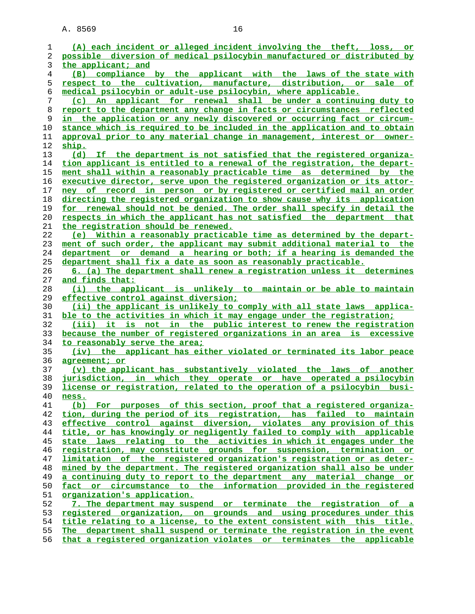| 1        | (A) each incident or alleged incident involving the theft, loss, or                                                                            |
|----------|------------------------------------------------------------------------------------------------------------------------------------------------|
| 2        | possible diversion of medical psilocybin manufactured or distributed by                                                                        |
| 3        | the applicant; and                                                                                                                             |
| 4        | (B) compliance by the applicant with the laws of the state with                                                                                |
| 5        | respect to the cultivation, manufacture, distribution, or sale of                                                                              |
| 6        | <u>medical psilocybin or adult-use psilocybin, where applicable.</u>                                                                           |
| 7        | (c) An applicant for renewal shall be under a continuing duty to                                                                               |
| 8        | report to the department any change in facts or circumstances reflected                                                                        |
| 9        | in the application or any newly discovered or occurring fact or circum-                                                                        |
| 10       | stance which is required to be included in the application and to obtain                                                                       |
| 11       | approval prior to any material change in management, interest or owner-                                                                        |
| 12       | ship.                                                                                                                                          |
| 13       | (d) If the department is not satisfied that the registered organiza-                                                                           |
| 14       | tion applicant is entitled to a renewal of the registration, the depart-                                                                       |
| 15       | ment shall within a reasonably practicable time as determined by the                                                                           |
| 16       | executive director, serve upon the registered organization or its attor-                                                                       |
| 17       | ney of record in person or by registered or certified mail an order                                                                            |
| 18       | directing the registered organization to show cause why its application                                                                        |
| 19       | for renewal should not be denied. The order shall specify in detail the                                                                        |
| 20       | respects in which the applicant has not satisfied the department that                                                                          |
| 21       | the registration should be renewed.                                                                                                            |
| 22       | (e) Within a reasonably practicable time as determined by the depart-                                                                          |
| 23       | ment of such order, the applicant may submit additional material to the                                                                        |
| 24       | department or demand a hearing or both; if a hearing is demanded the                                                                           |
| 25       | department shall fix a date as soon as reasonably practicable.                                                                                 |
| 26       | 6. (a) The department shall renew a registration unless it determines                                                                          |
| 27       | and finds that:                                                                                                                                |
| 28       | (i) the applicant is unlikely to maintain or be able to maintain                                                                               |
| 29       | effective control against diversion;                                                                                                           |
| 30       | (ii) the applicant is unlikely to comply with all state laws applica-                                                                          |
| 31       | ble to the activities in which it may engage under the registration;                                                                           |
| 32       | (iii) it is not in the public interest to renew the registration                                                                               |
| 33       | because the number of registered organizations in an area is excessive                                                                         |
| 34       | to reasonably serve the area;                                                                                                                  |
| 35       | (iv) the applicant has either violated or terminated its labor peace                                                                           |
| 36       | agreement; or                                                                                                                                  |
| 37       | (v) the applicant has substantively violated the laws of another                                                                               |
| 38       | jurisdiction, in which they operate or have operated a psilocybin                                                                              |
| 39       | license or registration, related to the operation of a psilocybin busi-                                                                        |
| 40       | <u>ness.</u>                                                                                                                                   |
| 41       | (b) For purposes of this section, proof that a registered organiza-                                                                            |
| 42       | tion, during the period of its registration, has failed to maintain                                                                            |
| 43       | effective control against diversion, violates any provision of this                                                                            |
| 44       | title, or has knowingly or negligently failed to comply with applicable<br>state laws relating to the activities in which it engages under the |
| 45<br>46 | registration, may constitute grounds for suspension, termination or                                                                            |
| 47       | limitation of the registered organization's registration or as deter-                                                                          |
| 48       | mined by the department. The registered organization shall also be under                                                                       |
| 49       | a continuing duty to report to the department any material change or                                                                           |
| 50       | fact or circumstance to the information provided in the registered                                                                             |
| 51       | organization's application.                                                                                                                    |
| 52       | 7. The department may suspend or terminate the registration of a                                                                               |
| 53       | registered organization, on grounds and using procedures under this                                                                            |
| 54       | title relating to a license, to the extent consistent with this title.                                                                         |
| 55       | The department shall suspend or terminate the registration in the event                                                                        |
|          |                                                                                                                                                |

**that a registered organization violates or terminates the applicable**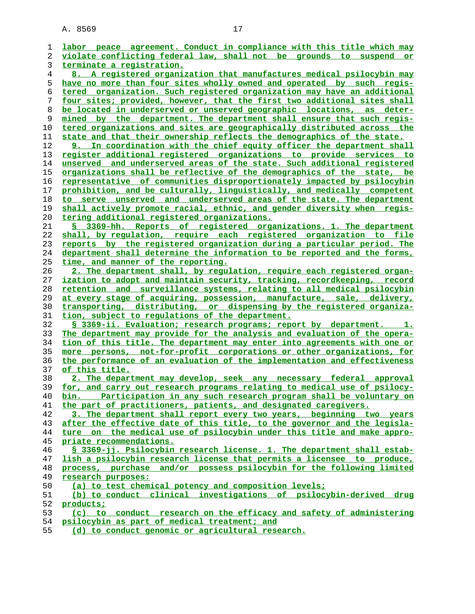**labor peace agreement. Conduct in compliance with this title which may violate conflicting federal law, shall not be grounds to suspend or terminate a registration. 8. A registered organization that manufactures medical psilocybin may have no more than four sites wholly owned and operated by such regis- tered organization. Such registered organization may have an additional four sites; provided, however, that the first two additional sites shall be located in underserved or unserved geographic locations, as deter- mined by the department. The department shall ensure that such regis- tered organizations and sites are geographically distributed across the state and that their ownership reflects the demographics of the state. 9. In coordination with the chief equity officer the department shall register additional registered organizations to provide services to unserved and underserved areas of the state. Such additional registered organizations shall be reflective of the demographics of the state, be representative of communities disproportionately impacted by psilocybin prohibition, and be culturally, linguistically, and medically competent to serve unserved and underserved areas of the state. The department shall actively promote racial, ethnic, and gender diversity when regis- tering additional registered organizations. § 3369-hh. Reports of registered organizations. 1. The department shall, by regulation, require each registered organization to file reports by the registered organization during a particular period. The department shall determine the information to be reported and the forms, time, and manner of the reporting. 2. The department shall, by regulation, require each registered organ- ization to adopt and maintain security, tracking, recordkeeping, record retention and surveillance systems, relating to all medical psilocybin at every stage of acquiring, possession, manufacture, sale, delivery, transporting, distributing, or dispensing by the registered organiza- tion, subject to regulations of the department. § 3369-ii. Evaluation; research programs; report by department. 1. The department may provide for the analysis and evaluation of the opera- tion of this title. The department may enter into agreements with one or more persons, not-for-profit corporations or other organizations, for the performance of an evaluation of the implementation and effectiveness of this title. 2. The department may develop, seek any necessary federal approval for, and carry out research programs relating to medical use of psilocy- bin. Participation in any such research program shall be voluntary on the part of practitioners, patients, and designated caregivers. 3. The department shall report every two years, beginning two years after the effective date of this title, to the governor and the legisla- ture on the medical use of psilocybin under this title and make appro- priate recommendations. § 3369-jj. Psilocybin research license. 1. The department shall estab- lish a psilocybin research license that permits a licensee to produce, process, purchase and/or possess psilocybin for the following limited research purposes: (a) to test chemical potency and composition levels; (b) to conduct clinical investigations of psilocybin-derived drug products; (c) to conduct research on the efficacy and safety of administering psilocybin as part of medical treatment; and (d) to conduct genomic or agricultural research.**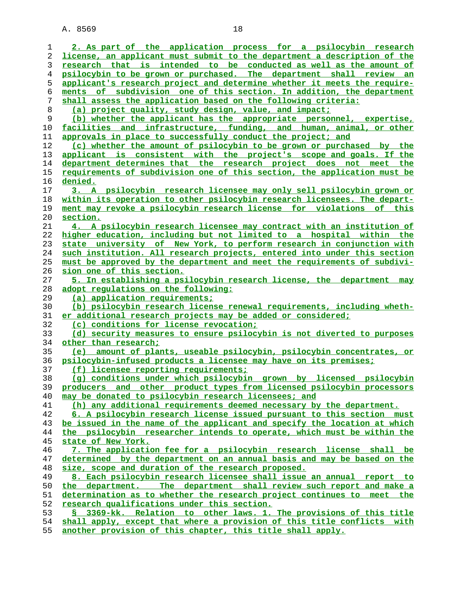**2. As part of the application process for a psilocybin research license, an applicant must submit to the department a description of the research that is intended to be conducted as well as the amount of psilocybin to be grown or purchased. The department shall review an applicant's research project and determine whether it meets the require- ments of subdivision one of this section. In addition, the department shall assess the application based on the following criteria: (a) project quality, study design, value, and impact; (b) whether the applicant has the appropriate personnel, expertise, facilities and infrastructure, funding, and human, animal, or other approvals in place to successfully conduct the project; and (c) whether the amount of psilocybin to be grown or purchased by the applicant is consistent with the project's scope and goals. If the department determines that the research project does not meet the requirements of subdivision one of this section, the application must be denied. 3. A psilocybin research licensee may only sell psilocybin grown or within its operation to other psilocybin research licensees. The depart- ment may revoke a psilocybin research license for violations of this section. 4. A psilocybin research licensee may contract with an institution of higher education, including but not limited to a hospital within the state university of New York, to perform research in conjunction with such institution. All research projects, entered into under this section must be approved by the department and meet the requirements of subdivi- sion one of this section. 5. In establishing a psilocybin research license, the department may adopt regulations on the following: (a) application requirements; (b) psilocybin research license renewal requirements, including wheth- er additional research projects may be added or considered; (c) conditions for license revocation; (d) security measures to ensure psilocybin is not diverted to purposes other than research; (e) amount of plants, useable psilocybin, psilocybin concentrates, or psilocybin-infused products a licensee may have on its premises; (f) licensee reporting requirements; (g) conditions under which psilocybin grown by licensed psilocybin producers and other product types from licensed psilocybin processors may be donated to psilocybin research licensees; and (h) any additional requirements deemed necessary by the department. 6. A psilocybin research license issued pursuant to this section must be issued in the name of the applicant and specify the location at which the psilocybin researcher intends to operate, which must be within the state of New York. 7. The application fee for a psilocybin research license shall be determined by the department on an annual basis and may be based on the size, scope and duration of the research proposed. 8. Each psilocybin research licensee shall issue an annual report to the department. The department shall review such report and make a determination as to whether the research project continues to meet the research qualifications under this section. § 3369-kk. Relation to other laws. 1. The provisions of this title shall apply, except that where a provision of this title conflicts with another provision of this chapter, this title shall apply.**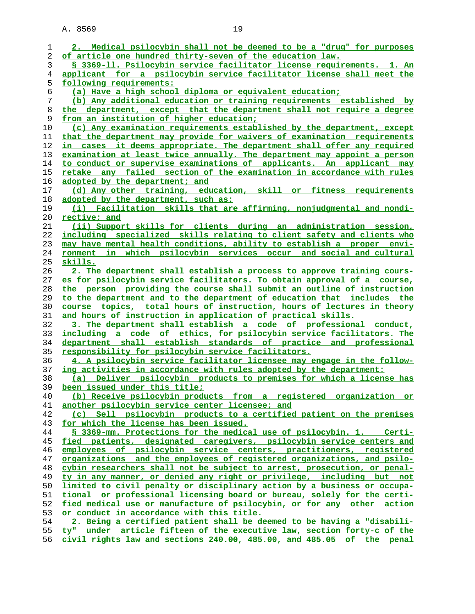| ı              | 2. Medical psilocybin shall not be deemed to be a "drug" for purposes                                                                             |
|----------------|---------------------------------------------------------------------------------------------------------------------------------------------------|
| 2              | of article one hundred thirty-seven of the education law.                                                                                         |
| 3              | § 3369-11. Psilocybin service facilitator license requirements. 1. An                                                                             |
| $\overline{4}$ | applicant for a psilocybin service facilitator license shall meet the                                                                             |
| 5              | following requirements:                                                                                                                           |
| 6              | (a) Have a high school diploma or equivalent education;                                                                                           |
| 7              | (b) Any additional education or training requirements established by                                                                              |
| 8              | the department, except that the department shall not require a degree                                                                             |
|                |                                                                                                                                                   |
| 9              | from an institution of higher education;                                                                                                          |
| 10             | (c) Any examination requirements established by the department, except                                                                            |
| 11             | that the department may provide for waivers of examination requirements                                                                           |
| 12             | in cases it deems appropriate. The department shall offer any required                                                                            |
| 13             | examination at least twice annually. The department may appoint a person                                                                          |
| 14             | to conduct or supervise examinations of applicants. An applicant may                                                                              |
| 15             | retake any failed section of the examination in accordance with rules                                                                             |
| 16             | adopted by the department; and                                                                                                                    |
| 17             | (d) Any other training, education, skill or fitness requirements                                                                                  |
| 18             | adopted by the department, such as:                                                                                                               |
| 19             | (i) Facilitation skills that are affirming, nonjudgmental and nondi-                                                                              |
| 20             | rective; and                                                                                                                                      |
| 21             | (ii) Support skills for clients during an administration session,                                                                                 |
| 22             | including specialized skills relating to client safety and clients who                                                                            |
| 23             | may have mental health conditions, ability to establish a proper envi-                                                                            |
| 24             | which psilocybin services occur and social and cultural<br>ronment<br>in                                                                          |
| 25             | <u>skills.</u>                                                                                                                                    |
| 26             | 2. The department shall establish a process to approve training cours-                                                                            |
| 27             | es for psilocybin service facilitators. To obtain approval of a course,                                                                           |
| 28             | the person providing the course shall submit an outline of instruction                                                                            |
| 29             | to the department and to the department of education that includes the                                                                            |
| 30             | course topics, total hours of instruction, hours of lectures in theory                                                                            |
| 31             | and hours of instruction in application of practical skills.                                                                                      |
| 32             | 3. The department shall establish a code of professional conduct,                                                                                 |
| 33             | including a code of ethics, for psilocybin service facilitators. The                                                                              |
| 34             | department shall establish standards of practice and professional                                                                                 |
|                |                                                                                                                                                   |
| 35             | responsibility for psilocybin service facilitators.                                                                                               |
| 36             | 4. A psilocybin service facilitator licensee may engage in the follow-                                                                            |
| 37             | ing activities in accordance with rules adopted by the department:                                                                                |
| 38             | (a) Deliver psilocybin products to premises for which a license has                                                                               |
| 39             | been issued under this title;                                                                                                                     |
| 40             | (b) Receive psilocybin products from a registered organization or                                                                                 |
| 41             | another psilocybin service center licensee; and                                                                                                   |
| 42             | (c) Sell psilocybin products to a certified patient on the premises                                                                               |
| 43             | for which the license has been issued.                                                                                                            |
| 44             | \$ 3369-mm. Protections for the medical use of psilocybin. 1. Certi-                                                                              |
| 45             | fied patients, designated caregivers, psilocybin service centers and                                                                              |
| 46             | employees of psilocybin service centers, practitioners, registered                                                                                |
| 47             | organizations and the employees of registered organizations, and psilo-                                                                           |
| 48<br>49       | cybin researchers shall not be subject to arrest, prosecution, or penal-<br>ty in any manner, or denied any right or privilege, including but not |
| 50             | limited to civil penalty or disciplinary action by a business or occupa-                                                                          |
|                |                                                                                                                                                   |
| 51<br>52       | tional or professional licensing board or bureau, solely for the certi-<br>fied medical use or manufacture of psilocybin, or for any other action |
| 53             | or conduct in accordance with this title.                                                                                                         |
| 54             | 2. Being a certified patient shall be deemed to be having a "disabili-                                                                            |
| 55             | ty" under article fifteen of the executive law, section forty-c of the                                                                            |
|                |                                                                                                                                                   |

**civil rights law and sections 240.00, 485.00, and 485.05 of the penal**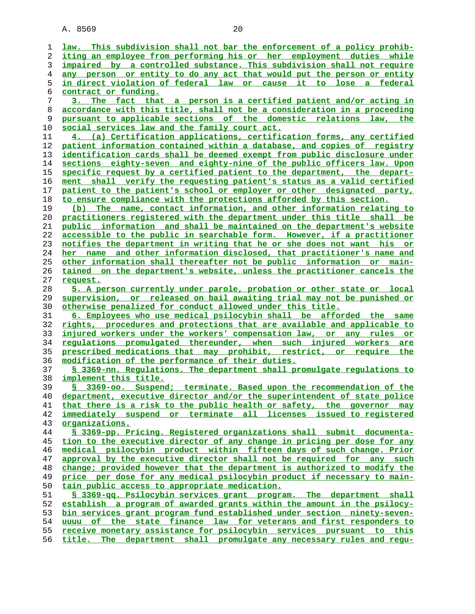**law. This subdivision shall not bar the enforcement of a policy prohib- iting an employee from performing his or her employment duties while impaired by a controlled substance. This subdivision shall not require any person or entity to do any act that would put the person or entity in direct violation of federal law or cause it to lose a federal contract or funding. 3. The fact that a person is a certified patient and/or acting in accordance with this title, shall not be a consideration in a proceeding pursuant to applicable sections of the domestic relations law, the social services law and the family court act. 4. (a) Certification applications, certification forms, any certified patient information contained within a database, and copies of registry identification cards shall be deemed exempt from public disclosure under sections eighty-seven and eighty-nine of the public officers law. Upon specific request by a certified patient to the department, the depart- ment shall verify the requesting patient's status as a valid certified patient to the patient's school or employer or other designated party, to ensure compliance with the protections afforded by this section. (b) The name, contact information, and other information relating to practitioners registered with the department under this title shall be public information and shall be maintained on the department's website accessible to the public in searchable form. However, if a practitioner notifies the department in writing that he or she does not want his or her name and other information disclosed, that practitioner's name and other information shall thereafter not be public information or main- tained on the department's website, unless the practitioner cancels the request. 5. A person currently under parole, probation or other state or local supervision, or released on bail awaiting trial may not be punished or otherwise penalized for conduct allowed under this title. 6. Employees who use medical psilocybin shall be afforded the same rights, procedures and protections that are available and applicable to injured workers under the workers' compensation law, or any rules or regulations promulgated thereunder, when such injured workers are prescribed medications that may prohibit, restrict, or require the modification of the performance of their duties. § 3369-nn. Regulations. The department shall promulgate regulations to implement this title. § 3369-oo. Suspend; terminate. Based upon the recommendation of the department, executive director and/or the superintendent of state police that there is a risk to the public health or safety, the governor may immediately suspend or terminate all licenses issued to registered organizations. § 3369-pp. Pricing. Registered organizations shall submit documenta- tion to the executive director of any change in pricing per dose for any medical psilocybin product within fifteen days of such change. Prior approval by the executive director shall not be required for any such change; provided however that the department is authorized to modify the price per dose for any medical psilocybin product if necessary to main** tain public access to appropriate medication. **§ 3369-qq. Psilocybin services grant program. The department shall establish a program of awarded grants within the amount in the psilocy- bin services grant program fund established under section ninety-seven- uuuu of the state finance law for veterans and first responders to receive monetary assistance for psilocybin services pursuant to this title. The department shall promulgate any necessary rules and regu-**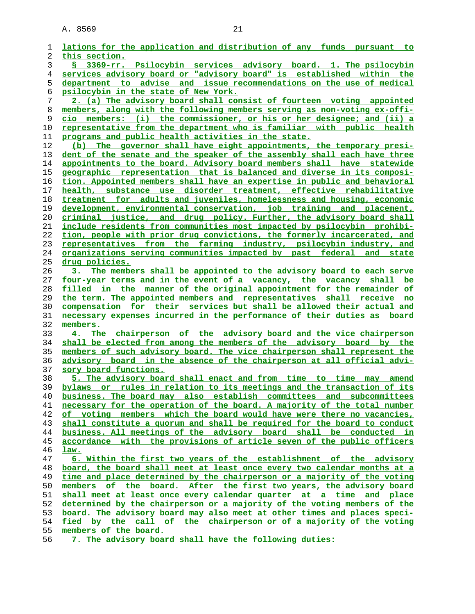| 1              | lations for the application and distribution of any funds pursuant to                                                                                |
|----------------|------------------------------------------------------------------------------------------------------------------------------------------------------|
| 2              | this section.                                                                                                                                        |
| 3              | § 3369-rr. Psilocybin services advisory board. 1. The psilocybin                                                                                     |
| $\overline{4}$ | services advisory board or "advisory board" is established within the                                                                                |
| 5              | department to advise and issue recommendations on the use of medical                                                                                 |
| 6              | psilocybin in the state of New York.                                                                                                                 |
| 7              | 2. (a) The advisory board shall consist of fourteen voting appointed                                                                                 |
| 8              | members, along with the following members serving as non-voting ex-offi-                                                                             |
| 9              | cio members: (i) the commissioner, or his or her designee; and (ii) a                                                                                |
| 10             | <u>representative from the department who is familiar with public health</u>                                                                         |
| 11             | programs and public health activities in the state.                                                                                                  |
| 12             | (b) The governor shall have eight appointments, the temporary presi-                                                                                 |
| 13             | dent of the senate and the speaker of the assembly shall each have three                                                                             |
| 14             | appointments to the board. Advisory board members shall have statewide                                                                               |
| 15             | geographic representation that is balanced and diverse in its composi-                                                                               |
| 16             | tion. Appointed members shall have an expertise in public and behavioral                                                                             |
| 17             | health, substance use disorder treatment, effective rehabilitative                                                                                   |
|                | treatment for adults and juveniles, homelessness and housing, economic                                                                               |
| 18<br>19       | development, environmental conservation, job training and placement,                                                                                 |
|                | criminal justice, and drug policy. Further, the advisory board shall                                                                                 |
| 20             |                                                                                                                                                      |
| 21             | include residents from communities most impacted by psilocybin prohibi-                                                                              |
| 22             | tion, people with prior drug convictions, the formerly incarcerated, and                                                                             |
| 23             | representatives from the farming industry, psilocybin industry, and                                                                                  |
| 24             | organizations serving communities impacted by past federal and state                                                                                 |
| 25             | drug policies.<br>3. The members shall be appointed to the advisory board to each serve                                                              |
| 26             |                                                                                                                                                      |
| 27             | <u>four-year terms and in the event of a vacancy, the vacancy shall be</u>                                                                           |
| 28             | filled in the manner of the original appointment for the remainder of                                                                                |
| 29             | the term. The appointed members and representatives shall receive no                                                                                 |
| 30             | compensation for their services but shall be allowed their actual and                                                                                |
| 31             | necessary expenses incurred in the performance of their duties as board                                                                              |
| 32             | members.                                                                                                                                             |
| 33             | 4. The chairperson of the advisory board and the vice chairperson                                                                                    |
| 34             | shall be elected from among the members of the advisory board by the                                                                                 |
| 35             | members of such advisory board. The vice chairperson shall represent the<br>advisory board in the absence of the chairperson at all official advi-   |
| 36             |                                                                                                                                                      |
| 37             | sory board functions.                                                                                                                                |
| 38<br>39       | 5. The advisory board shall enact and from time to time may amend                                                                                    |
| 40             | bylaws or rules in relation to its meetings and the transaction of its<br>business. The board may also establish committees and subcommittees        |
| 41             | necessary for the operation of the board. A majority of the total number                                                                             |
| 42             | of voting members which the board would have were there no vacancies,                                                                                |
|                |                                                                                                                                                      |
| 43             | shall constitute a quorum and shall be required for the board to conduct<br>business. All meetings of the advisory board shall be conducted in       |
| 44             | accordance with the provisions of article seven of the public officers                                                                               |
| 45<br>46       | law.                                                                                                                                                 |
| 47             |                                                                                                                                                      |
|                | <u>6. Within the first two years of the establishment of the advisory</u>                                                                            |
| 48<br>49       | board, the board shall meet at least once every two calendar months at a<br>time and place determined by the chairperson or a majority of the voting |
|                |                                                                                                                                                      |
| 50             | members of the board. After the first two years, the advisory board                                                                                  |
| 51             | shall meet at least once every calendar quarter at a time<br>and place                                                                               |
| 52             | determined by the chairperson or a majority of the voting members of the                                                                             |
| 53             | board. The advisory board may also meet at other times and places speci-                                                                             |
| 54             | fied by the call of the chairperson or of a majority of the voting                                                                                   |
| 55             | members of the board.                                                                                                                                |

**7. The advisory board shall have the following duties:**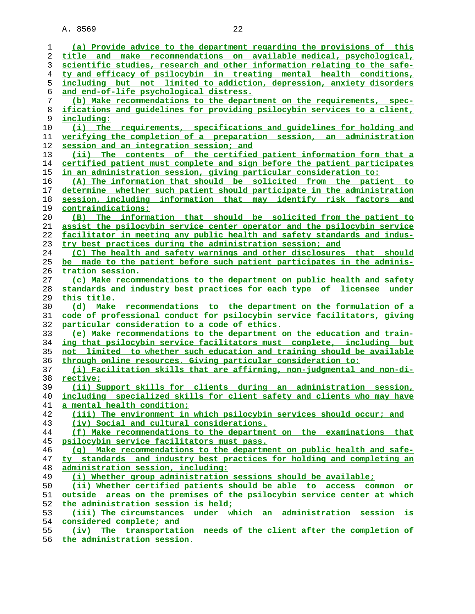| ı  | (a) Provide advice to the department regarding the provisions of this       |
|----|-----------------------------------------------------------------------------|
| 2  | title and make recommendations on available medical, psychological,         |
| 3  | scientific studies, research and other information relating to the safe-    |
| 4  | ty and efficacy of psilocybin in treating mental health conditions,         |
| 5  | including but not limited to addiction, depression, anxiety disorders       |
| 6  | and end-of-life psychological distress.                                     |
| 7  | (b) Make recommendations to the department on the requirements, spec-       |
| 8  | ifications and quidelines for providing psilocybin services to a client,    |
| 9  | including:                                                                  |
| 10 | (i) The requirements, specifications and quidelines for holding and         |
| 11 | <u>verifying the completion of a preparation session, an administration</u> |
| 12 | session and an integration session; and                                     |
| 13 | (ii) The contents of the certified patient information form that a          |
| 14 | certified patient must complete and sign before the patient participates    |
| 15 | in an administration session, giving particular consideration to:           |
| 16 | (A) The information that should be solicited from the patient to            |
| 17 | determine whether such patient should participate in the administration     |
| 18 | session, including information that may identify risk factors and           |
| 19 | contraindications;                                                          |
| 20 | (B) The information that should be solicited from the patient to            |
| 21 | assist the psilocybin service center operator and the psilocybin service    |
| 22 | facilitator in meeting any public health and safety standards and indus-    |
| 23 | try best practices during the administration session; and                   |
| 24 | (C) The health and safety warnings and other disclosures that should        |
| 25 | be made to the patient before such patient participates in the adminis-     |
| 26 | tration session.                                                            |
| 27 | (c) Make recommendations to the department on public health and safety      |
| 28 | standards and industry best practices for each type of licensee under       |
| 29 | this title.                                                                 |
| 30 | (d) Make recommendations to the department on the formulation of a          |
| 31 | code of professional conduct for psilocybin service facilitators, giving    |
| 32 | <u>particular consideration to a code of ethics.</u>                        |
| 33 | (e) Make recommendations to the department on the education and train-      |
| 34 | ing that psilocybin service facilitators must complete, including but       |
| 35 | not limited to whether such education and training should be available      |
| 36 | through online resources. Giving particular consideration to:               |
| 37 | (i) Facilitation skills that are affirming, non-judgmental and non-di-      |
| 38 | rective;                                                                    |
| 39 | (ii) Support skills for clients during an<br>administration<br>session,     |
| 40 | including specialized skills for client safety and clients who may have     |
| 41 | a mental health condition;                                                  |
| 42 | (iii) The environment in which psilocybin services should occur; and        |
| 43 | (iv) Social and cultural considerations.                                    |
| 44 | (f) Make recommendations to the department on the examinations that         |
| 45 | psilocybin service facilitators must pass.                                  |
| 46 | (q) Make recommendations to the department on public health and safe-       |
| 47 | ty standards and industry best practices for holding and completing an      |
| 48 | administration session, including:                                          |
| 49 | (i) Whether group administration sessions should be available;              |
| 50 | (ii) Whether certified patients should be able to access common or          |
| 51 | outside areas on the premises of the psilocybin service center at which     |
| 52 | the administration session is held;                                         |
| 53 | (iii) The circumstances under which an administration session is            |
| 54 | considered complete; and                                                    |
| 55 | The transportation needs of the client after the completion of<br>(iv)      |
|    |                                                                             |

**the administration session.**